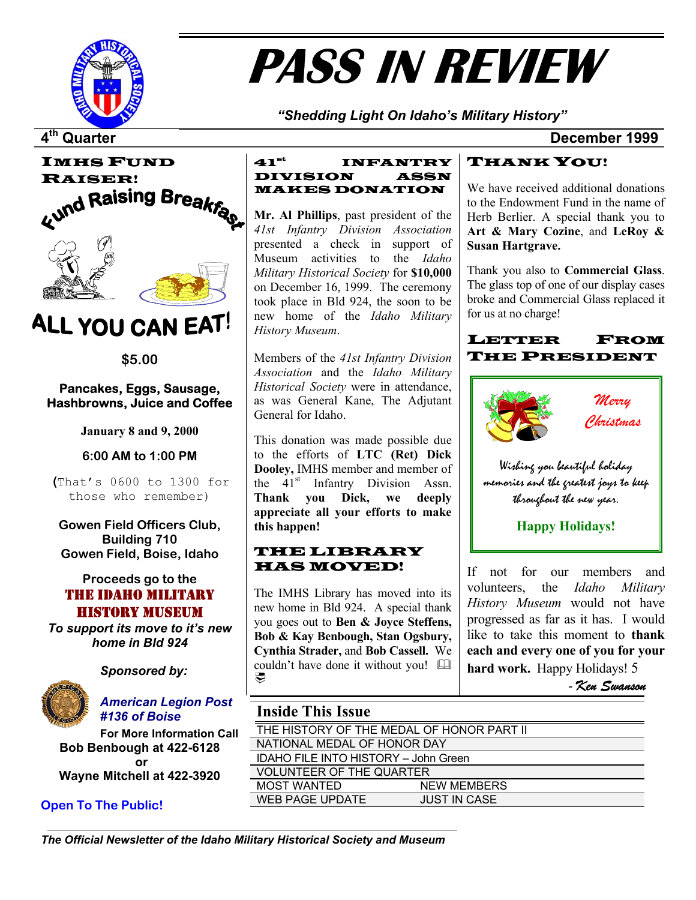

# **PASS IN REVIEW**

*"Shedding Light On Idaho's Military History"* 

**4th Quarter December 1999**



## ALL YOU CAN EAT!

**\$5.00** 

#### **Pancakes, Eggs, Sausage, Hashbrowns, Juice and Coffee**

#### **6:00 AM to 1:00 PM**

 **(**That's 0600 to 1300 for those who remember)

**Gowen Field Officers Club, Building 710** 

#### **Proceeds go to the**  THE IDAHO MILITARY HISTORY MUSEUM

*To support its move to it's new home in Bld 924* 



*Sponsored by:* 



*American Legion Post #136 of Boise* 

**For More Information Call Bob Benbough at 422-6128 or Wayne Mitchell at 422-3920** 

### **Open To The Public!**

#### $41^{\rm st}$  INFANTRY DIVISION ASSN MAKES DONATION

**Mr. Al Phillips**, past president of the *41st Infantry Division Association* presented a check in support of Museum activities to the *Idaho Military Historical Society* for **\$10,000** on December 16, 1999. The ceremony took place in Bld 924, the soon to be new home of the *Idaho Military History Museum*.

*Association* and the *Idaho Military Historical Society* were in attendance, as was General Kane, The Adjutant General for Idaho.

**January 8 and 9, 2000** This donation was made possible due to the efforts of **LTC (Ret) Dick Dooley,** IMHS member and member of the 41<sup>st</sup> Infantry Division Assn. **Thank you Dick, we deeply appreciate all your efforts to make this happen!**

## **Gowen Field, Boise, Idaho LIBRARY laws laws MOVED!**

The IMHS Library has moved into its new home in Bld 924. A special thank you goes out to **Ben & Joyce Steffens, Bob & Kay Benbough, Stan Ogsbury, Cynthia Strader,** and **Bob Cassell.** We couldn't have done it without you! ₩

### THANK YOU!

We have received additional donations to the Endowment Fund in the name of Herb Berlier. A special thank you to **Art & Mary Cozine**, and **LeRoy & Susan Hartgrave.** 

Thank you also to **Commercial Glass**. The glass top of one of our display cases broke and Commercial Glass replaced it for us at no charge!

#### LETTER FROM Members of the 41st Infantry Division **THE PRESIDENT**



If not for our members and volunteers, the *Idaho Military History Museum* would not have progressed as far as it has. I would like to take this moment to **thank each and every one of you for your hard work.** Happy Holidays! 5

- *Ken Swanson*

### **Inside This Issue**

| THE HISTORY OF THE MEDAL OF HONOR PART II   |                     |  |  |  |
|---------------------------------------------|---------------------|--|--|--|
| NATIONAL MEDAL OF HONOR DAY                 |                     |  |  |  |
| <b>IDAHO FILE INTO HISTORY - John Green</b> |                     |  |  |  |
| <b>VOLUNTEER OF THE QUARTER</b>             |                     |  |  |  |
| <b>MOST WANTED</b>                          | <b>NEW MEMBERS</b>  |  |  |  |
| WEB PAGE UPDATE                             | <b>JUST IN CASE</b> |  |  |  |
|                                             |                     |  |  |  |

*The Official Newsletter of the Idaho Military Historical Society and Museum*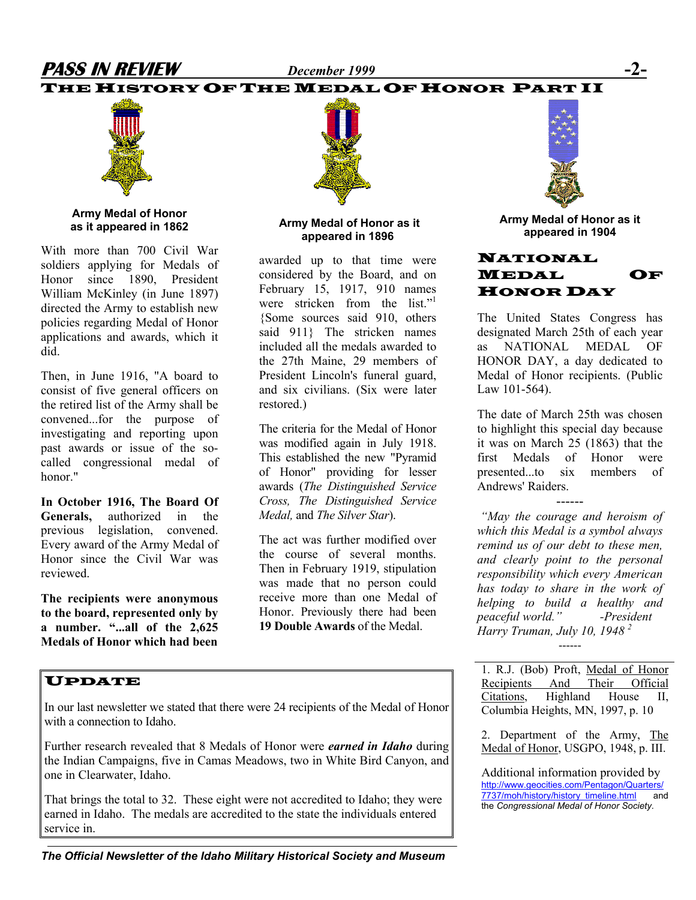## **PASS IN REVIEW** *December 1999* **-2-**

### THE HISTORY OF THE MEDAL OF HONOR PART II



**Army Medal of Honor as it appeared in 1862** 

With more than 700 Civil War soldiers applying for Medals of Honor since 1890, President William McKinley (in June 1897) directed the Army to establish new policies regarding Medal of Honor applications and awards, which it did.

Then, in June 1916, "A board to consist of five general officers on the retired list of the Army shall be convened...for the purpose of investigating and reporting upon past awards or issue of the socalled congressional medal of honor."

**In October 1916, The Board Of Generals,** authorized in the previous legislation, convened. Every award of the Army Medal of Honor since the Civil War was reviewed.

**The recipients were anonymous to the board, represented only by a number. "...all of the 2,625 Medals of Honor which had been** 

#### **Army Medal of Honor as it appeared in 1896**

awarded up to that time were considered by the Board, and on February 15, 1917, 910 names were stricken from the list."<sup>1</sup> {Some sources said 910, others said 911} The stricken names included all the medals awarded to the 27th Maine, 29 members of President Lincoln's funeral guard, and six civilians. (Six were later restored.)

The criteria for the Medal of Honor was modified again in July 1918. This established the new "Pyramid of Honor" providing for lesser awards (*The Distinguished Service Cross, The Distinguished Service Medal,* and *The Silver Star*).

The act was further modified over the course of several months. Then in February 1919, stipulation was made that no person could receive more than one Medal of Honor. Previously there had been **19 Double Awards** of the Medal.



**Army Medal of Honor as it appeared in 1904** 

#### NATIONAL MEDAL OF HONOR DAY

The United States Congress has designated March 25th of each year as NATIONAL MEDAL OF HONOR DAY, a day dedicated to Medal of Honor recipients. (Public Law 101-564).

The date of March 25th was chosen to highlight this special day because it was on March 25 (1863) that the first Medals of Honor were presented to six members of Andrews' Raiders.

------

*"May the courage and heroism of which this Medal is a symbol always remind us of our debt to these men, and clearly point to the personal responsibility which every American has today to share in the work of helping to build a healthy and peaceful world." -President Harry Truman, July 10, 1948 2* ------

1. R.J. (Bob) Proft, Medal of Honor Recipients And Their Official Citations, Highland House II, Columbia Heights, MN, 1997, p. 10

2. Department of the Army, The Medal of Honor, USGPO, 1948, p. III.

Additional information provided by [http://www.geocities.com/Pentagon/Quarters/](http://www.geocities.com/Pentagon/Quarters/7737/moh/history/history_timeline.html) [7737/moh/history/history\\_timeline.html](http://www.geocities.com/Pentagon/Quarters/7737/moh/history/history_timeline.html) and the *Congressional Medal of Honor Society.* 

### UPDATE

In our last newsletter we stated that there were 24 recipients of the Medal of Honor with a connection to Idaho.

Further research revealed that 8 Medals of Honor were *earned in Idaho* during the Indian Campaigns, five in Camas Meadows, two in White Bird Canyon, and one in Clearwater, Idaho.

That brings the total to 32. These eight were not accredited to Idaho; they were earned in Idaho. The medals are accredited to the state the individuals entered service in.

*The Official Newsletter of the Idaho Military Historical Society and Museum*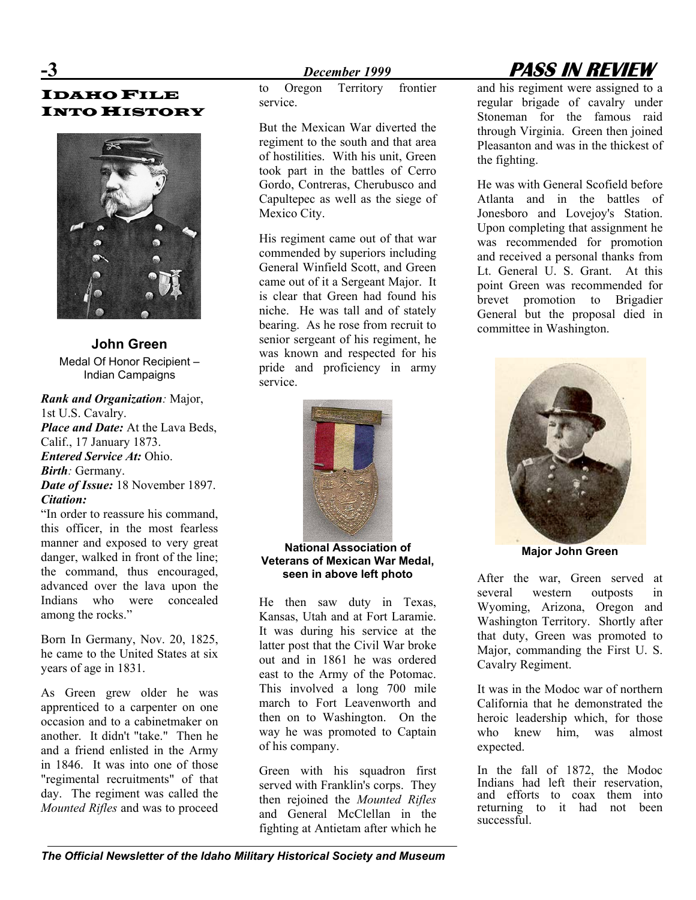IDAHO FILE **INTO HISTORY** 



**John Green**  Medal Of Honor Recipient – Indian Campaigns

#### *Rank and Organization:* Major, 1st U.S. Cavalry. *Place and Date:* At the Lava Beds, Calif., 17 January 1873. *Entered Service At:* Ohio. *Birth:* Germany. *Date of Issue:* 18 November 1897.

*Citation:* "In order to reassure his command, this officer, in the most fearless manner and exposed to very great danger, walked in front of the line; the command, thus encouraged, advanced over the lava upon the Indians who were concealed among the rocks."

Born In Germany, Nov. 20, 1825, he came to the United States at six years of age in 1831.

As Green grew older he was apprenticed to a carpenter on one occasion and to a cabinetmaker on another. It didn't "take." Then he and a friend enlisted in the Army in 1846. It was into one of those "regimental recruitments" of that day. The regiment was called the *Mounted Rifles* and was to proceed

to Oregon Territory frontier service.

But the Mexican War diverted the regiment to the south and that area of hostilities. With his unit, Green took part in the battles of Cerro Gordo, Contreras, Cherubusco and Capultepec as well as the siege of Mexico City.

His regiment came out of that war commended by superiors including General Winfield Scott, and Green came out of it a Sergeant Major. It is clear that Green had found his niche. He was tall and of stately bearing. As he rose from recruit to senior sergeant of his regiment, he was known and respected for his pride and proficiency in army service.



**National Association of Veterans of Mexican War Medal, seen in above left photo** 

He then saw duty in Texas, Kansas, Utah and at Fort Laramie. It was during his service at the latter post that the Civil War broke out and in 1861 he was ordered east to the Army of the Potomac. This involved a long 700 mile march to Fort Leavenworth and then on to Washington. On the way he was promoted to Captain of his company.

Green with his squadron first served with Franklin's corps. They then rejoined the *Mounted Rifles*  and General McClellan in the fighting at Antietam after which he and his regiment were assigned to a regular brigade of cavalry under Stoneman for the famous raid through Virginia. Green then joined Pleasanton and was in the thickest of the fighting.

He was with General Scofield before Atlanta and in the battles of Jonesboro and Lovejoy's Station. Upon completing that assignment he was recommended for promotion and received a personal thanks from Lt. General U. S. Grant. At this point Green was recommended for brevet promotion to Brigadier General but the proposal died in committee in Washington.



**Major John Green** 

After the war, Green served at several western outposts in Wyoming, Arizona, Oregon and Washington Territory. Shortly after that duty, Green was promoted to Major, commanding the First U. S. Cavalry Regiment.

It was in the Modoc war of northern California that he demonstrated the heroic leadership which, for those who knew him, was almost expected.

In the fall of 1872, the Modoc Indians had left their reservation, and efforts to coax them into returning to it had not been successful.

## **-3** *December 1999* **PASS IN REVIEW**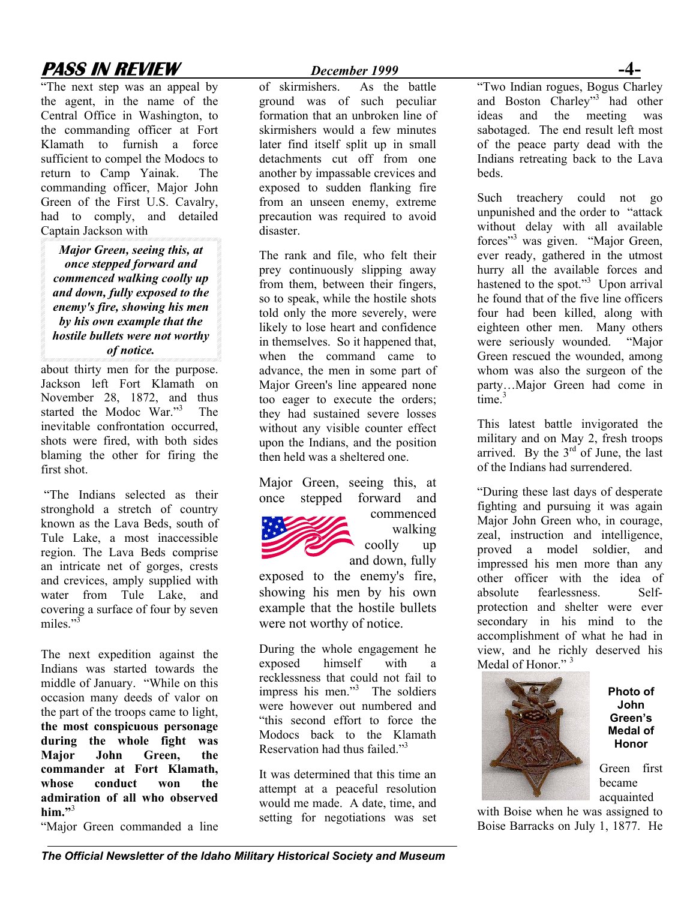## **PASS IN REVIEW** December 1999

"The next step was an appeal by the agent, in the name of the Central Office in Washington, to the commanding officer at Fort Klamath to furnish a force sufficient to compel the Modocs to return to Camp Yainak. The commanding officer, Major John Green of the First U.S. Cavalry, had to comply, and detailed Captain Jackson with

*Major Green, seeing this, at once stepped forward and commenced walking coolly up and down, fully exposed to the enemy's fire, showing his men by his own example that the hostile bullets were not worthy of notice.* 

about thirty men for the purpose. Jackson left Fort Klamath on November 28, 1872, and thus started the Modoc War."<sup>3</sup> The inevitable confrontation occurred, shots were fired, with both sides blaming the other for firing the first shot.

"The Indians selected as their stronghold a stretch of country known as the Lava Beds, south of Tule Lake, a most inaccessible region. The Lava Beds comprise an intricate net of gorges, crests and crevices, amply supplied with water from Tule Lake, and covering a surface of four by seven miles $"$ <sup>3</sup>

The next expedition against the Indians was started towards the middle of January. "While on this occasion many deeds of valor on the part of the troops came to light, **the most conspicuous personage during the whole fight was Major John Green, the commander at Fort Klamath, whose conduct won the admiration of all who observed him."**<sup>3</sup>

"Major Green commanded a line

of skirmishers. As the battle ground was of such peculiar formation that an unbroken line of skirmishers would a few minutes later find itself split up in small detachments cut off from one another by impassable crevices and exposed to sudden flanking fire from an unseen enemy, extreme precaution was required to avoid disaster.

The rank and file, who felt their prey continuously slipping away from them, between their fingers, so to speak, while the hostile shots told only the more severely, were likely to lose heart and confidence in themselves. So it happened that, when the command came to advance, the men in some part of Major Green's line appeared none too eager to execute the orders; they had sustained severe losses without any visible counter effect upon the Indians, and the position then held was a sheltered one.

Major Green, seeing this, at once stepped forward and



commenced walking coolly up and down, fully

exposed to the enemy's fire, showing his men by his own example that the hostile bullets were not worthy of notice.

During the whole engagement he exposed himself with a recklessness that could not fail to impress his men."<sup>3</sup> The soldiers were however out numbered and "this second effort to force the Modocs back to the Klamath Reservation had thus failed."3

It was determined that this time an attempt at a peaceful resolution would me made. A date, time, and setting for negotiations was set "Two Indian rogues, Bogus Charley and Boston Charley"<sup>3</sup> had other ideas and the meeting was sabotaged. The end result left most of the peace party dead with the Indians retreating back to the Lava beds.

Such treachery could not go unpunished and the order to "attack without delay with all available forces"<sup>3</sup> was given. "Major Green, ever ready, gathered in the utmost hurry all the available forces and hastened to the spot." $3$  Upon arrival he found that of the five line officers four had been killed, along with eighteen other men. Many others were seriously wounded. "Major Green rescued the wounded, among whom was also the surgeon of the party…Major Green had come in  $time<sup>3</sup>$ 

This latest battle invigorated the military and on May 2, fresh troops arrived. By the  $3<sup>rd</sup>$  of June, the last of the Indians had surrendered.

"During these last days of desperate fighting and pursuing it was again Major John Green who, in courage, zeal, instruction and intelligence, proved a model soldier, and impressed his men more than any other officer with the idea of absolute fearlessness. Selfprotection and shelter were ever secondary in his mind to the accomplishment of what he had in view, and he richly deserved his Medal of Honor."<sup>3</sup>



**Photo of John Green's Medal of Honor** 

Green first became acquainted

with Boise when he was assigned to Boise Barracks on July 1, 1877. He

*The Official Newsletter of the Idaho Military Historical Society and Museum*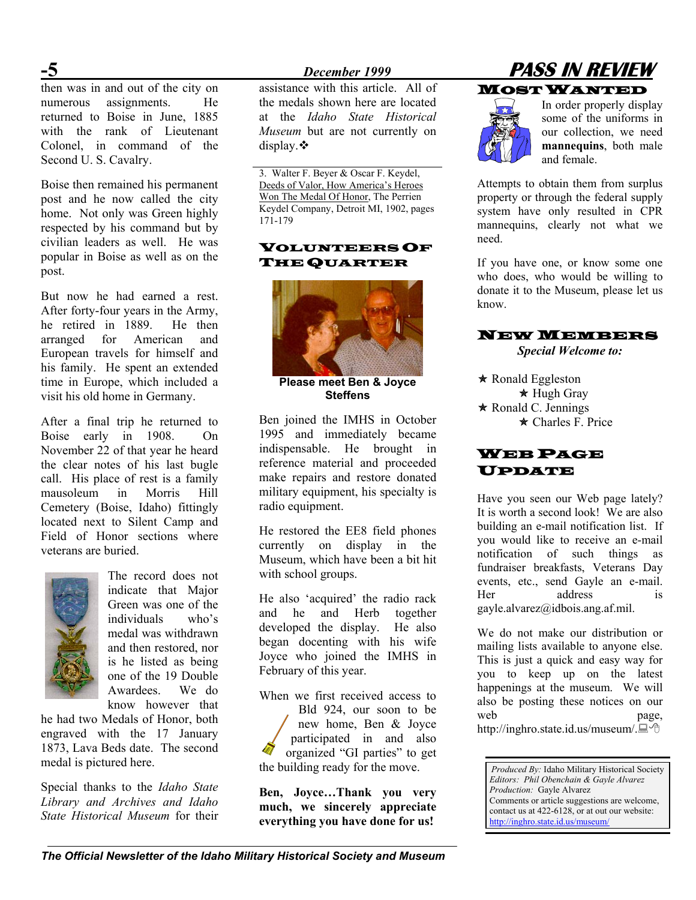then was in and out of the city on numerous assignments. He returned to Boise in June, 1885 with the rank of Lieutenant Colonel, in command of the Second U. S. Cavalry.

Boise then remained his permanent post and he now called the city home. Not only was Green highly respected by his command but by civilian leaders as well. He was popular in Boise as well as on the post.

But now he had earned a rest. After forty-four years in the Army, he retired in 1889. He then arranged for American and European travels for himself and his family. He spent an extended time in Europe, which included a visit his old home in Germany.

After a final trip he returned to Boise early in 1908. On November 22 of that year he heard the clear notes of his last bugle call. His place of rest is a family mausoleum in Morris Hill Cemetery (Boise, Idaho) fittingly located next to Silent Camp and Field of Honor sections where veterans are buried.



The record does not indicate that Major Green was one of the individuals who's medal was withdrawn and then restored, nor is he listed as being one of the 19 Double Awardees. We do know however that

he had two Medals of Honor, both engraved with the 17 January 1873, Lava Beds date. The second medal is pictured here.

Special thanks to the *Idaho State Library and Archives and Idaho State Historical Museum* for their

assistance with this article. All of the medals shown here are located at the *Idaho State Historical Museum* but are not currently on display. $\bullet$ 

3. Walter F. Beyer & Oscar F. Keydel, Deeds of Valor, How America's Heroes Won The Medal Of Honor, The Perrien Keydel Company, Detroit MI, 1902, pages 171-179

## $\mathbf V$ OLUNTEERS OF  $^{need.}$



Ben joined the IMHS in October 1995 and immediately became indispensable. He brought in reference material and proceeded make repairs and restore donated military equipment, his specialty is radio equipment.

He restored the EE8 field phones currently on display in the Museum, which have been a bit hit with school groups.

He also 'acquired' the radio rack and he and Herb together developed the display. He also began docenting with his wife Joyce who joined the IMHS in February of this year.

When we first received access to Bld 924, our soon to be new home, Ben & Joyce participated in and also organized "GI parties" to get the building ready for the move. *Produced By:* Idaho Military Historical Society

**Ben, Joyce…Thank you very much, we sincerely appreciate everything you have done for us!** 





In order properly display some of the uniforms in our collection, we need **mannequins**, both male and female.

Attempts to obtain them from surplus property or through the federal supply system have only resulted in CPR mannequins, clearly not what we

**THE QUARTER** If you have one, or know some one who does, who would be willing to donate it to the Museum, please let us know.

#### NEW MEMBERS

*Special Welcome to:* 

**Steffens**  $\star$  Hugh Gray  $\star$  Ronald C. Jennings  $\star$  Charles F. Price

#### WEB PAGE UPDATE

Have you seen our Web page lately? It is worth a second look! We are also building an e-mail notification list. If you would like to receive an e-mail notification of such things as fundraiser breakfasts, Veterans Day events, etc., send Gayle an e-mail. Her address is [gayle.alvarez@idbois.ang.af.mil](mailto:gayle.alvarez@idbois.ang.af.mil).

We do not make our distribution or mailing lists available to anyone else. This is just a quick and easy way for you to keep up on the latest happenings at the museum. We will also be posting these notices on our web page, http://inghro.state.id.us/museum/.■ <sup>↑</sup>

*Editors: Phil Obenchain & Gayle Alvarez Production:* Gayle Alvarez Comments or article suggestions are welcome, contact us at 422-6128, or at out our website: <http://inghro.state.id.us/museum/>